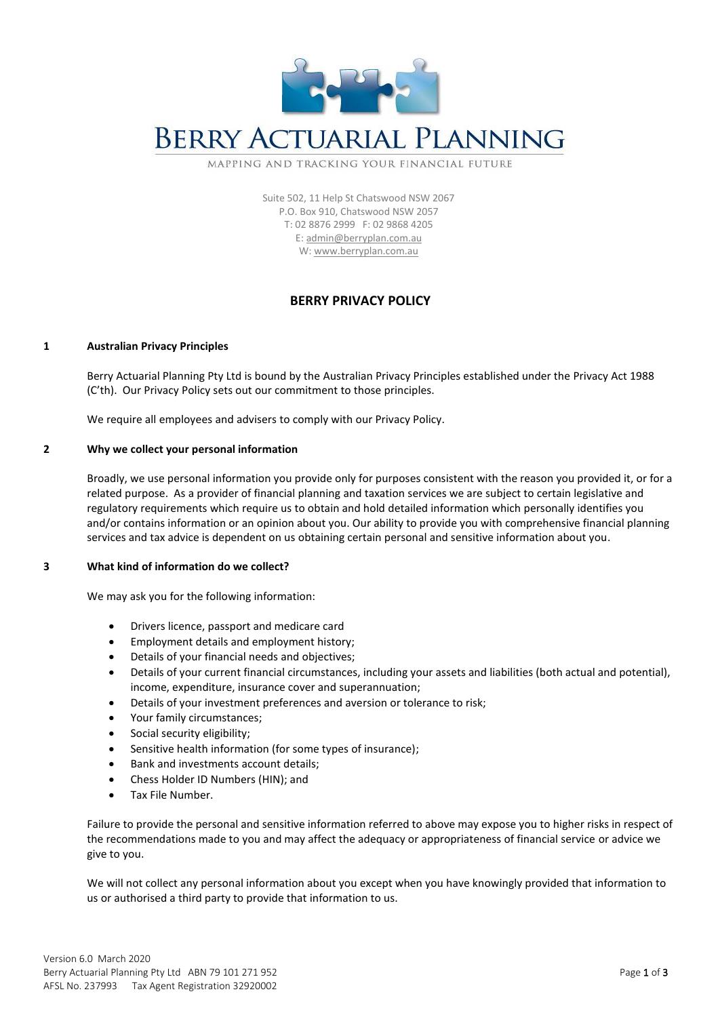

# **BERRY ACTUARIAL PLANNING**

MAPPING AND TRACKING YOUR FINANCIAL FUTURE

Suite 502, 11 Help St Chatswood NSW 2067 P.O. Box 910, Chatswood NSW 2057 T: 02 8876 2999 F: 02 9868 4205 E[: admin@berryplan.com.au](mailto:admin@berryplan.com.au) W: [www.berryplan.com.au](http://www.berryplan.com.au/)

# **BERRY PRIVACY POLICY**

#### **1 Australian Privacy Principles**

Berry Actuarial Planning Pty Ltd is bound by the Australian Privacy Principles established under the Privacy Act 1988 (C'th). Our Privacy Policy sets out our commitment to those principles.

We require all employees and advisers to comply with our Privacy Policy.

#### **2 Why we collect your personal information**

Broadly, we use personal information you provide only for purposes consistent with the reason you provided it, or for a related purpose. As a provider of financial planning and taxation services we are subject to certain legislative and regulatory requirements which require us to obtain and hold detailed information which personally identifies you and/or contains information or an opinion about you. Our ability to provide you with comprehensive financial planning services and tax advice is dependent on us obtaining certain personal and sensitive information about you.

# **3 What kind of information do we collect?**

We may ask you for the following information:

- Drivers licence, passport and medicare card
- Employment details and employment history;
- Details of your financial needs and objectives;
- Details of your current financial circumstances, including your assets and liabilities (both actual and potential), income, expenditure, insurance cover and superannuation;
- Details of your investment preferences and aversion or tolerance to risk;
- Your family circumstances;
- Social security eligibility;
- Sensitive health information (for some types of insurance);
- Bank and investments account details;
- Chess Holder ID Numbers (HIN); and
- Tax File Number.

Failure to provide the personal and sensitive information referred to above may expose you to higher risks in respect of the recommendations made to you and may affect the adequacy or appropriateness of financial service or advice we give to you.

We will not collect any personal information about you except when you have knowingly provided that information to us or authorised a third party to provide that information to us.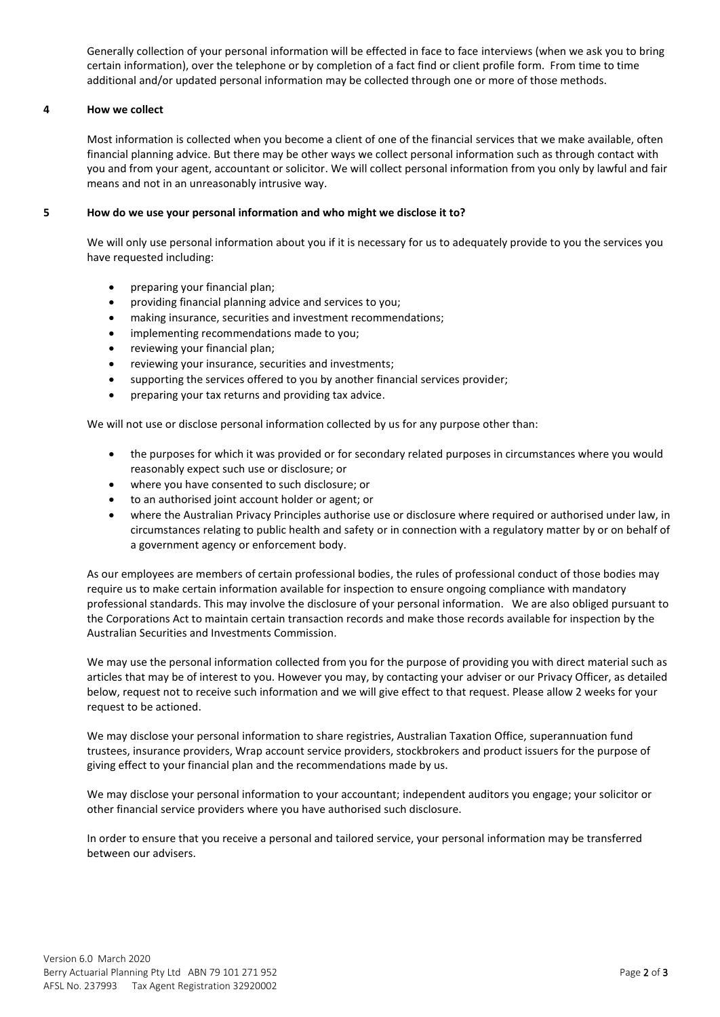Generally collection of your personal information will be effected in face to face interviews (when we ask you to bring certain information), over the telephone or by completion of a fact find or client profile form. From time to time additional and/or updated personal information may be collected through one or more of those methods.

# **4 How we collect**

Most information is collected when you become a client of one of the financial services that we make available, often financial planning advice. But there may be other ways we collect personal information such as through contact with you and from your agent, accountant or solicitor. We will collect personal information from you only by lawful and fair means and not in an unreasonably intrusive way.

# **5 How do we use your personal information and who might we disclose it to?**

We will only use personal information about you if it is necessary for us to adequately provide to you the services you have requested including:

- preparing your financial plan;
- providing financial planning advice and services to you;
- making insurance, securities and investment recommendations;
- implementing recommendations made to you;
- reviewing your financial plan;
- reviewing your insurance, securities and investments;
- supporting the services offered to you by another financial services provider;
- preparing your tax returns and providing tax advice.

We will not use or disclose personal information collected by us for any purpose other than:

- the purposes for which it was provided or for secondary related purposes in circumstances where you would reasonably expect such use or disclosure; or
- where you have consented to such disclosure; or
- to an authorised joint account holder or agent; or
- where the Australian Privacy Principles authorise use or disclosure where required or authorised under law, in circumstances relating to public health and safety or in connection with a regulatory matter by or on behalf of a government agency or enforcement body.

As our employees are members of certain professional bodies, the rules of professional conduct of those bodies may require us to make certain information available for inspection to ensure ongoing compliance with mandatory professional standards. This may involve the disclosure of your personal information. We are also obliged pursuant to the Corporations Act to maintain certain transaction records and make those records available for inspection by the Australian Securities and Investments Commission.

We may use the personal information collected from you for the purpose of providing you with direct material such as articles that may be of interest to you. However you may, by contacting your adviser or our Privacy Officer, as detailed below, request not to receive such information and we will give effect to that request. Please allow 2 weeks for your request to be actioned.

We may disclose your personal information to share registries, Australian Taxation Office, superannuation fund trustees, insurance providers, Wrap account service providers, stockbrokers and product issuers for the purpose of giving effect to your financial plan and the recommendations made by us.

We may disclose your personal information to your accountant; independent auditors you engage; your solicitor or other financial service providers where you have authorised such disclosure.

In order to ensure that you receive a personal and tailored service, your personal information may be transferred between our advisers.